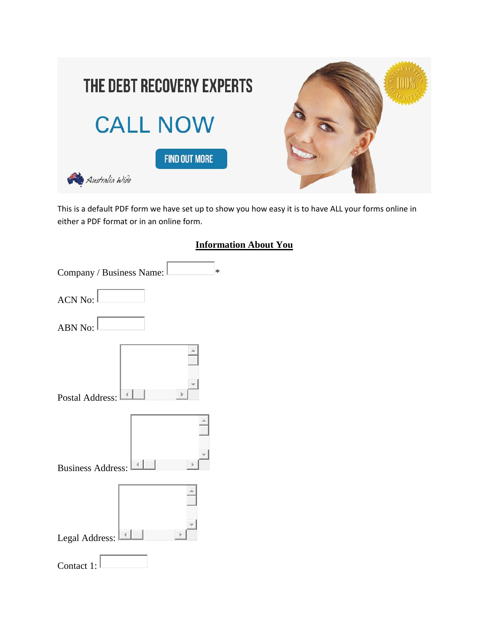

This is a default PDF form we have set up to show you how easy it is to have ALL your forms online in either a PDF format or in an online form.



| Company / Business Name: | $\ast$ |
|--------------------------|--------|
| <b>ACN No:</b>           |        |
| ABN No:                  |        |
| <b>Postal Address:</b>   |        |
| <b>Business Address:</b> |        |
| Legal Address:           |        |
| Contact 1:               |        |